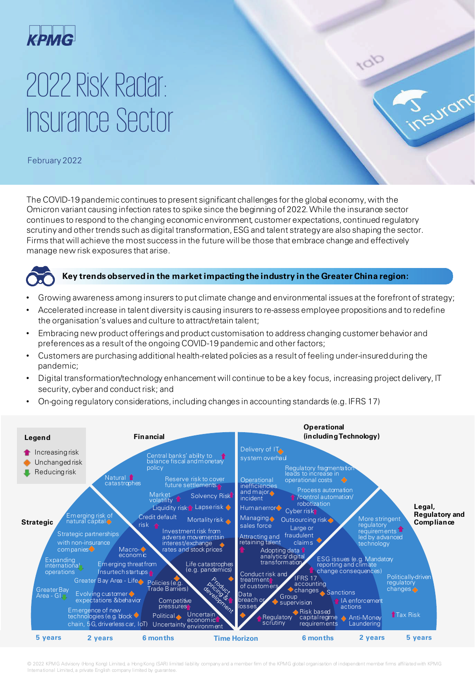

# 2022 Risk Radar: Insurance Sector

February 2022

The COVID-19 pandemic continues to present significant challenges for the global economy, with the Omicron variant causing infection rates to spike since the beginning of 2022. While the insurance sector continues to respond to the changing economic environment, customer expectations, continued regulatory scrutiny and other trends such as digital transformation, ESG and talent strategy are also shaping the sector. Firms that will achieve the most success in the future will be those that embrace change and effectively manage new risk exposures that arise.



#### **Key trends observed in the market impacting the industry in the Greater China region:**

J<sub>nsuranc</sub>

- Growing awareness among insurers to put climate change and environmental issues at the forefront of strategy;
- Accelerated increase in talent diversity is causing insurers to re-assess employee propositions and to redefine the organisation's values and culture to attract/retain talent;
- Embracing new product offerings and product customisation to address changing customer behavior and preferences as a result of the ongoing COVID-19 pandemic and other factors;
- Customers are purchasing additional health-related policies as a result of feeling under-insured during the pandemic;
- Digital transformation/technology enhancement will continue to be a key focus, increasing project delivery, IT security, cyber and conduct risk; and
- On-going regulatory considerations, including changes in accounting standards (e.g. IFRS 17)



© 2022 KPMG Advisory (Hong Kong) Limited, a Hong Kong (SAR) limited liability company and a member firm of the KPMG global organisation of independent member firms affiliated with KPMG International Limited, a private English company limited by guarantee.